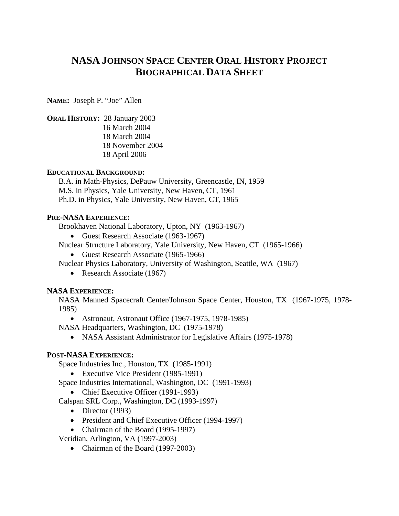# **NASA JOHNSON SPACE CENTER ORAL HISTORY PROJECT BIOGRAPHICAL DATA SHEET**

**NAME:** Joseph P. "Joe" Allen

**ORAL HISTORY:** 28 January 2003

16 March 2004 18 March 2004 18 November 2004 18 April 2006

## **EDUCATIONAL BACKGROUND:**

B.A. in Math-Physics, DePauw University, Greencastle, IN, 1959 M.S. in Physics, Yale University, New Haven, CT, 1961 Ph.D. in Physics, Yale University, New Haven, CT, 1965

## **PRE-NASA EXPERIENCE:**

Brookhaven National Laboratory, Upton, NY (1963-1967)

- Guest Research Associate (1963-1967)
- Nuclear Structure Laboratory, Yale University, New Haven, CT (1965-1966)
	- Guest Research Associate (1965-1966)
- Nuclear Physics Laboratory, University of Washington, Seattle, WA (1967)
	- Research Associate (1967)

### **NASA EXPERIENCE:**

NASA Manned Spacecraft Center/Johnson Space Center, Houston, TX (1967-1975, 1978- 1985)

• Astronaut, Astronaut Office (1967-1975, 1978-1985)

NASA Headquarters, Washington, DC (1975-1978)

• NASA Assistant Administrator for Legislative Affairs (1975-1978)

# **POST-NASA EXPERIENCE:**

Space Industries Inc., Houston, TX (1985-1991)

- Executive Vice President (1985-1991)
- Space Industries International, Washington, DC (1991-1993)
	- Chief Executive Officer (1991-1993)

Calspan SRL Corp., Washington, DC (1993-1997)

- Director  $(1993)$
- President and Chief Executive Officer (1994-1997)
- Chairman of the Board (1995-1997)

Veridian, Arlington, VA (1997-2003)

• Chairman of the Board (1997-2003)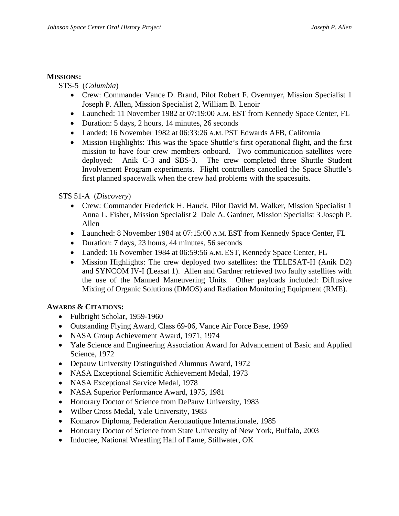### **MISSIONS:**

STS-5 (*Columbia*)

- Crew: Commander Vance D. Brand, Pilot Robert F. Overmyer, Mission Specialist 1 Joseph P. Allen, Mission Specialist 2, William B. Lenoir
- Launched: 11 November 1982 at 07:19:00 A.M. EST from Kennedy Space Center, FL
- Duration: 5 days, 2 hours, 14 minutes, 26 seconds
- Landed: 16 November 1982 at 06:33:26 A.M. PST Edwards AFB, California
- Mission Highlights: This was the Space Shuttle's first operational flight, and the first mission to have four crew members onboard. Two communication satellites were deployed: Anik C-3 and SBS-3. The crew completed three Shuttle Student Involvement Program experiments. Flight controllers cancelled the Space Shuttle's first planned spacewalk when the crew had problems with the spacesuits.

## STS 51-A (*Discovery*)

- Crew: Commander Frederick H. Hauck, Pilot David M. Walker, Mission Specialist 1 Anna L. Fisher, Mission Specialist 2 Dale A. Gardner, Mission Specialist 3 Joseph P. Allen
- Launched: 8 November 1984 at 07:15:00 A.M. EST from Kennedy Space Center, FL
- Duration: 7 days, 23 hours, 44 minutes, 56 seconds
- Landed: 16 November 1984 at 06:59:56 A.M. EST, Kennedy Space Center, FL
- Mission Highlights: The crew deployed two satellites: the TELESAT-H (Anik D2) and SYNCOM IV-I (Leasat 1). Allen and Gardner retrieved two faulty satellites with the use of the Manned Maneuvering Units. Other payloads included: Diffusive Mixing of Organic Solutions (DMOS) and Radiation Monitoring Equipment (RME).

## **AWARDS & CITATIONS:**

- Fulbright Scholar, 1959-1960
- Outstanding Flying Award, Class 69-06, Vance Air Force Base, 1969
- NASA Group Achievement Award, 1971, 1974
- Yale Science and Engineering Association Award for Advancement of Basic and Applied Science, 1972
- Depauw University Distinguished Alumnus Award, 1972
- NASA Exceptional Scientific Achievement Medal, 1973
- NASA Exceptional Service Medal, 1978
- NASA Superior Performance Award, 1975, 1981
- Honorary Doctor of Science from DePauw University, 1983
- Wilber Cross Medal, Yale University, 1983
- Komarov Diploma, Federation Aeronautique Internationale, 1985
- Honorary Doctor of Science from State University of New York, Buffalo, 2003
- Inductee, National Wrestling Hall of Fame, Stillwater, OK